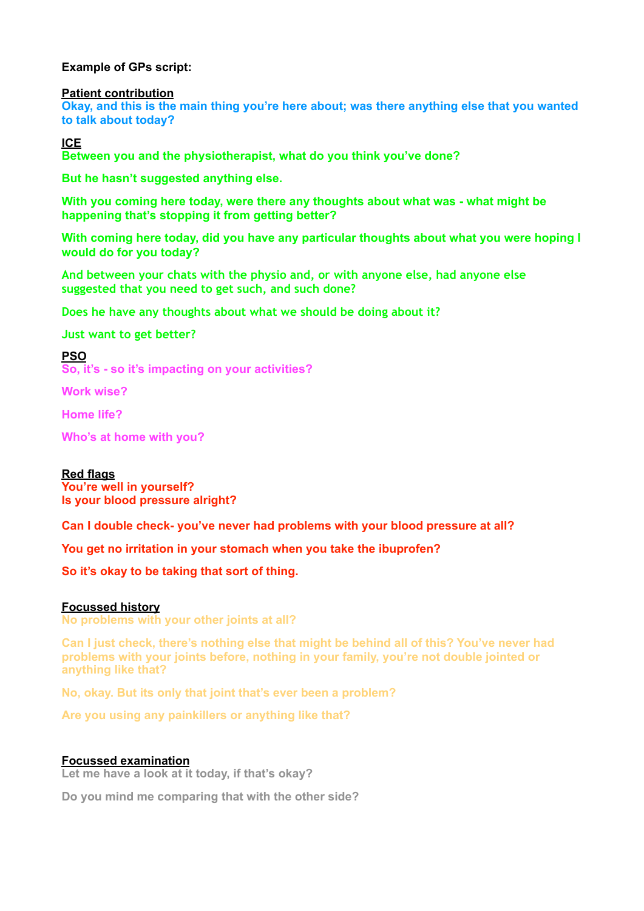# **Example of GPs script:**

#### **Patient contribution**

**Okay, and this is the main thing you're here about; was there anything else that you wanted to talk about today?**

**ICE** 

**Between you and the physiotherapist, what do you think you've done?** 

**But he hasn't suggested anything else.** 

**With you coming here today, were there any thoughts about what was - what might be happening that's stopping it from getting better?** 

**With coming here today, did you have any particular thoughts about what you were hoping I would do for you today?**

**And between your chats with the physio and, or with anyone else, had anyone else suggested that you need to get such, and such done?**

**Does he have any thoughts about what we should be doing about it?** 

**Just want to get better?**

**PSO** 

**So, it's - so it's impacting on your activities?** 

**Work wise?** 

**Home life?** 

**Who's at home with you?**

# **Red flags**

**You're well in yourself? Is your blood pressure alright?** 

**Can I double check- you've never had problems with your blood pressure at all?** 

**You get no irritation in your stomach when you take the ibuprofen?** 

**So it's okay to be taking that sort of thing.** 

### **Focussed history**

**No problems with your other joints at all?** 

**Can I just check, there's nothing else that might be behind all of this? You've never had problems with your joints before, nothing in your family, you're not double jointed or anything like that?** 

**No, okay. But its only that joint that's ever been a problem?** 

**Are you using any painkillers or anything like that?** 

### **Focussed examination**

**Let me have a look at it today, if that's okay?** 

**Do you mind me comparing that with the other side?**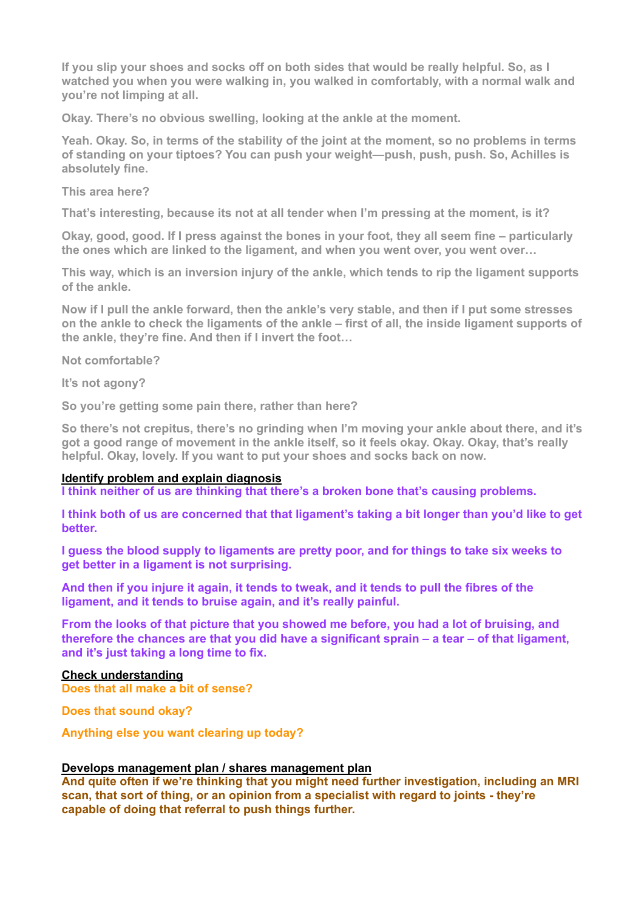**If you slip your shoes and socks off on both sides that would be really helpful. So, as I watched you when you were walking in, you walked in comfortably, with a normal walk and you're not limping at all.** 

**Okay. There's no obvious swelling, looking at the ankle at the moment.** 

**Yeah. Okay. So, in terms of the stability of the joint at the moment, so no problems in terms of standing on your tiptoes? You can push your weight—push, push, push. So, Achilles is absolutely fine.** 

**This area here?** 

**That's interesting, because its not at all tender when I'm pressing at the moment, is it?** 

**Okay, good, good. If I press against the bones in your foot, they all seem fine – particularly the ones which are linked to the ligament, and when you went over, you went over…** 

**This way, which is an inversion injury of the ankle, which tends to rip the ligament supports of the ankle.** 

**Now if I pull the ankle forward, then the ankle's very stable, and then if I put some stresses on the ankle to check the ligaments of the ankle – first of all, the inside ligament supports of the ankle, they're fine. And then if I invert the foot…** 

**Not comfortable?** 

**It's not agony?** 

**So you're getting some pain there, rather than here?** 

**So there's not crepitus, there's no grinding when I'm moving your ankle about there, and it's got a good range of movement in the ankle itself, so it feels okay. Okay. Okay, that's really helpful. Okay, lovely. If you want to put your shoes and socks back on now.** 

### **Identify problem and explain diagnosis**

**I think neither of us are thinking that there's a broken bone that's causing problems.** 

**I think both of us are concerned that that ligament's taking a bit longer than you'd like to get better.** 

**I guess the blood supply to ligaments are pretty poor, and for things to take six weeks to get better in a ligament is not surprising.** 

**And then if you injure it again, it tends to tweak, and it tends to pull the fibres of the ligament, and it tends to bruise again, and it's really painful.** 

**From the looks of that picture that you showed me before, you had a lot of bruising, and therefore the chances are that you did have a significant sprain – a tear – of that ligament, and it's just taking a long time to fix.** 

# **Check understanding**

**Does that all make a bit of sense?** 

**Does that sound okay?** 

**Anything else you want clearing up today?** 

### **Develops management plan / shares management plan**

**And quite often if we're thinking that you might need further investigation, including an MRI scan, that sort of thing, or an opinion from a specialist with regard to joints - they're capable of doing that referral to push things further.**